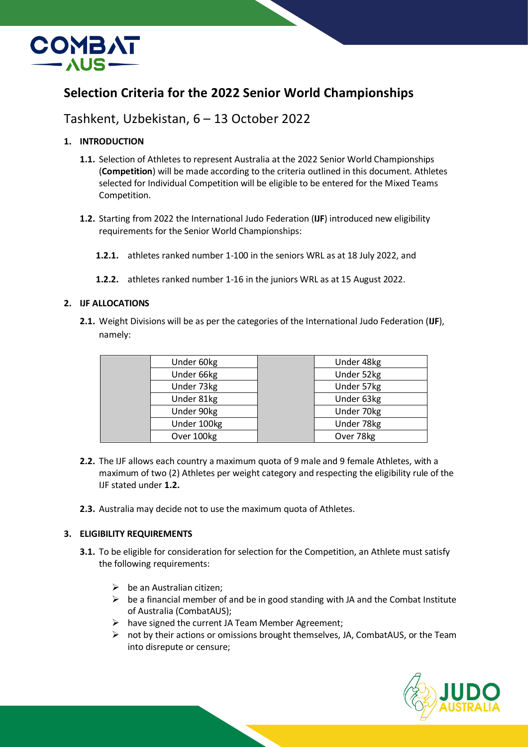

# **Selection Criteria for the 2022 Senior World Championships**

# Tashkent, Uzbekistan, 6 – 13 October 2022

# **1. INTRODUCTION**

- **1.1.** Selection of Athletes to represent Australia at the 2022 Senior World Championships (**Competition**) will be made according to the criteria outlined in this document. Athletes selected for Individual Competition will be eligible to be entered for the Mixed Teams Competition.
- **1.2.** Starting from 2022 the International Judo Federation (**IJF**) introduced new eligibility requirements for the Senior World Championships:
	- **1.2.1.** athletes ranked number 1-100 in the seniors WRL as at 18 July 2022, and
	- **1.2.2.** athletes ranked number 1-16 in the juniors WRL as at 15 August 2022.

## **2. IJF ALLOCATIONS**

**2.1.** Weight Divisions will be as per the categories of the International Judo Federation (**IJF**), namely:

| Under 60kg  | Under 48kg |
|-------------|------------|
| Under 66kg  | Under 52kg |
| Under 73kg  | Under 57kg |
| Under 81kg  | Under 63kg |
| Under 90kg  | Under 70kg |
| Under 100kg | Under 78kg |
| Over 100kg  | Over 78kg  |
|             |            |

- **2.2.** The IJF allows each country a maximum quota of 9 male and 9 female Athletes, with a maximum of two (2) Athletes per weight category and respecting the eligibility rule of the IJF stated under **1.2.**
- **2.3.** Australia may decide not to use the maximum quota of Athletes.

# **3. ELIGIBILITY REQUIREMENTS**

- **3.1.** To be eligible for consideration for selection for the Competition, an Athlete must satisfy the following requirements:
	- $\triangleright$  be an Australian citizen;
	- $\triangleright$  be a financial member of and be in good standing with JA and the Combat Institute of Australia (CombatAUS);
	- $\triangleright$  have signed the current JA Team Member Agreement;
	- $\triangleright$  not by their actions or omissions brought themselves, JA, CombatAUS, or the Team into disrepute or censure;

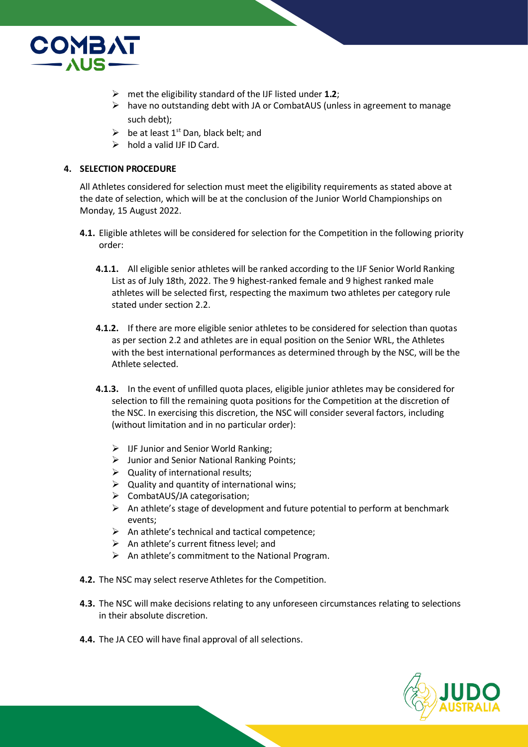

- met the eligibility standard of the IJF listed under **1.2**;
- $\triangleright$  have no outstanding debt with JA or CombatAUS (unless in agreement to manage such debt);
- $\triangleright$  be at least 1<sup>st</sup> Dan, black belt; and
- $\triangleright$  hold a valid IJF ID Card.

### **4. SELECTION PROCEDURE**

All Athletes considered for selection must meet the eligibility requirements as stated above at the date of selection, which will be at the conclusion of the Junior World Championships on Monday, 15 August 2022.

- **4.1.** Eligible athletes will be considered for selection for the Competition in the following priority order:
	- **4.1.1.** All eligible senior athletes will be ranked according to the IJF Senior World Ranking List as of July 18th, 2022. The 9 highest-ranked female and 9 highest ranked male athletes will be selected first, respecting the maximum two athletes per category rule stated under section 2.2.
	- **4.1.2.** If there are more eligible senior athletes to be considered for selection than quotas as per section 2.2 and athletes are in equal position on the Senior WRL, the Athletes with the best international performances as determined through by the NSC, will be the Athlete selected.
	- **4.1.3.** In the event of unfilled quota places, eligible junior athletes may be considered for selection to fill the remaining quota positions for the Competition at the discretion of the NSC. In exercising this discretion, the NSC will consider several factors, including (without limitation and in no particular order):
		- $\triangleright$  IJF Junior and Senior World Ranking;
		- $\triangleright$  Junior and Senior National Ranking Points;
		- $\triangleright$  Quality of international results;
		- $\triangleright$  Quality and quantity of international wins;
		- CombatAUS/JA categorisation;
		- $\triangleright$  An athlete's stage of development and future potential to perform at benchmark events;
		- $\triangleright$  An athlete's technical and tactical competence;
		- $\triangleright$  An athlete's current fitness level; and
		- $\triangleright$  An athlete's commitment to the National Program.
- **4.2.** The NSC may select reserve Athletes for the Competition.
- **4.3.** The NSC will make decisions relating to any unforeseen circumstances relating to selections in their absolute discretion.
- **4.4.** The JA CEO will have final approval of all selections.